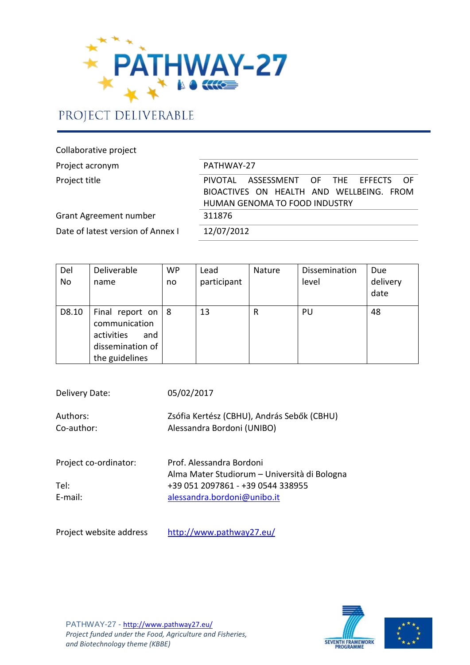

# PROJECT DELIVERABLE

Collaborative project

| Project acronym                   | PATHWAY-27                                |  |  |  |  |  |  |  |
|-----------------------------------|-------------------------------------------|--|--|--|--|--|--|--|
| Project title                     | PIVOTAL ASSESSMENT OF THE EFFECTS<br>– OF |  |  |  |  |  |  |  |
|                                   | BIOACTIVES ON HEALTH AND WELLBEING. FROM  |  |  |  |  |  |  |  |
|                                   | HUMAN GENOMA TO FOOD INDUSTRY             |  |  |  |  |  |  |  |
| Grant Agreement number            | 311876                                    |  |  |  |  |  |  |  |
| Date of latest version of Annex I | 12/07/2012                                |  |  |  |  |  |  |  |

| Del<br><b>No</b> | Deliverable<br>name                                                                              | <b>WP</b><br>no | Lead<br>participant | Nature | Dissemination<br>level | Due<br>delivery<br>date |
|------------------|--------------------------------------------------------------------------------------------------|-----------------|---------------------|--------|------------------------|-------------------------|
| D8.10            | Final report on $ 8$<br>communication<br>activities<br>and<br>dissemination of<br>the guidelines |                 | 13                  | R      | PU                     | 48                      |

| Delivery Date:                | 05/02/2017                                                                                                    |
|-------------------------------|---------------------------------------------------------------------------------------------------------------|
| Authors:<br>Co-author:        | Zsófia Kertész (CBHU), András Sebők (CBHU)<br>Alessandra Bordoni (UNIBO)                                      |
| Project co-ordinator:<br>Tel: | Prof. Alessandra Bordoni<br>Alma Mater Studiorum - Università di Bologna<br>+39 051 2097861 - +39 0544 338955 |
| E-mail:                       | alessandra.bordoni@unibo.it                                                                                   |
| Project website address       | http://www.pathway27.eu/                                                                                      |



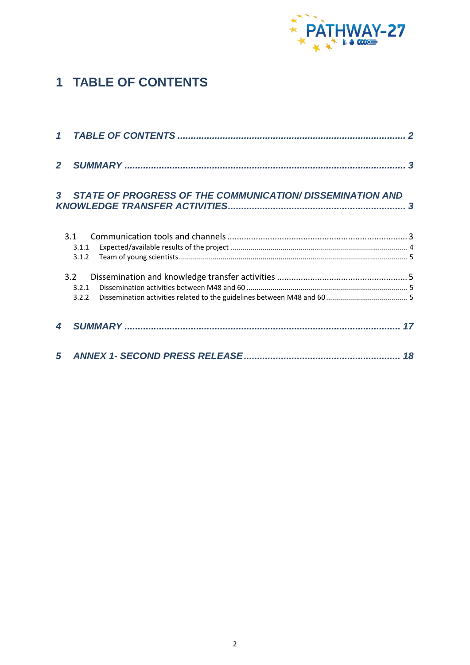

# <span id="page-1-0"></span>**1 TABLE OF CONTENTS**

| $\overline{2}$ |                                                                  |  |
|----------------|------------------------------------------------------------------|--|
| $\mathbf{3}$   | <b>STATE OF PROGRESS OF THE COMMUNICATION/ DISSEMINATION AND</b> |  |
|                | 3.1<br>3.1.1<br>3.1.2                                            |  |
|                | 3.2<br>3.2.1<br>3.2.2                                            |  |
| 4              |                                                                  |  |
| 5              |                                                                  |  |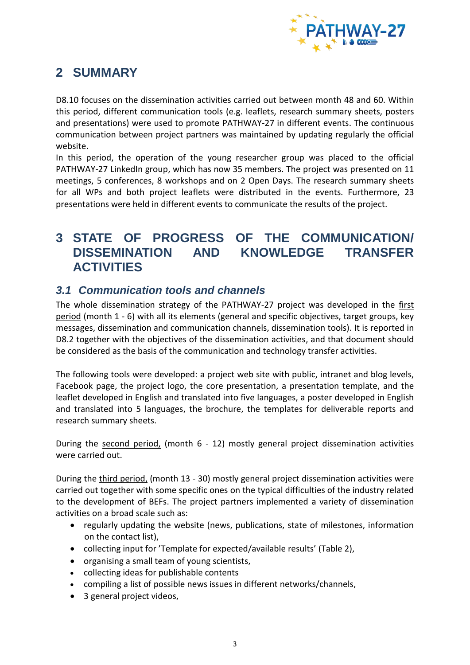

## <span id="page-2-0"></span>**2 SUMMARY**

D8.10 focuses on the dissemination activities carried out between month 48 and 60. Within this period, different communication tools (e.g. leaflets, research summary sheets, posters and presentations) were used to promote PATHWAY-27 in different events. The continuous communication between project partners was maintained by updating regularly the official website.

In this period, the operation of the young researcher group was placed to the official PATHWAY-27 LinkedIn group, which has now 35 members. The project was presented on 11 meetings, 5 conferences, 8 workshops and on 2 Open Days. The research summary sheets for all WPs and both project leaflets were distributed in the events. Furthermore, 23 presentations were held in different events to communicate the results of the project.

## <span id="page-2-1"></span>**3 STATE OF PROGRESS OF THE COMMUNICATION/ DISSEMINATION AND KNOWLEDGE TRANSFER ACTIVITIES**

### <span id="page-2-2"></span>*3.1 Communication tools and channels*

The whole dissemination strategy of the PATHWAY-27 project was developed in the first period (month 1 - 6) with all its elements (general and specific objectives, target groups, key messages, dissemination and communication channels, dissemination tools). It is reported in D8.2 together with the objectives of the dissemination activities, and that document should be considered as the basis of the communication and technology transfer activities.

The following tools were developed: a project web site with public, intranet and blog levels, Facebook page, the project logo, the core presentation, a presentation template, and the leaflet developed in English and translated into five languages, a poster developed in English and translated into 5 languages, the brochure, the templates for deliverable reports and research summary sheets.

During the second period, (month 6 - 12) mostly general project dissemination activities were carried out.

During the third period, (month 13 - 30) mostly general project dissemination activities were carried out together with some specific ones on the typical difficulties of the industry related to the development of BEFs. The project partners implemented a variety of dissemination activities on a broad scale such as:

- regularly updating the website (news, publications, state of milestones, information on the contact list),
- collecting input for 'Template for expected/available results' (Table 2),
- organising a small team of young scientists,
- collecting ideas for publishable contents
- compiling a list of possible news issues in different networks/channels,
- 3 general project videos,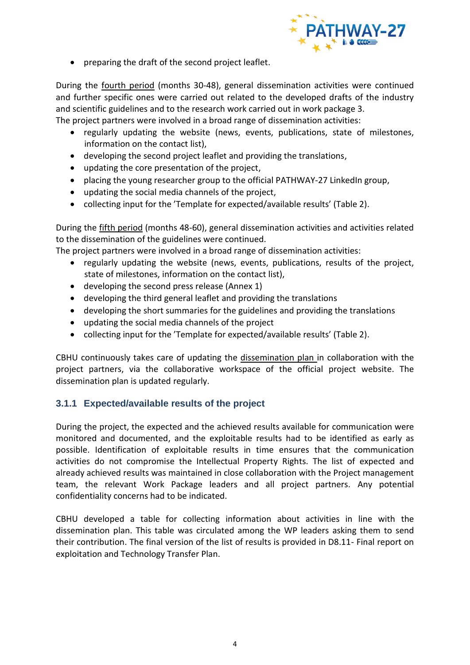

preparing the draft of the second project leaflet.

During the fourth period (months 30-48), general dissemination activities were continued and further specific ones were carried out related to the developed drafts of the industry and scientific guidelines and to the research work carried out in work package 3.

The project partners were involved in a broad range of dissemination activities:

- regularly updating the website (news, events, publications, state of milestones, information on the contact list),
- developing the second project leaflet and providing the translations,
- updating the core presentation of the project,
- placing the young researcher group to the official PATHWAY-27 LinkedIn group,
- updating the social media channels of the project,
- collecting input for the 'Template for expected/available results' (Table 2).

During the fifth period (months 48-60), general dissemination activities and activities related to the dissemination of the guidelines were continued.

The project partners were involved in a broad range of dissemination activities:

- regularly updating the website (news, events, publications, results of the project, state of milestones, information on the contact list),
- developing the second press release (Annex 1)
- developing the third general leaflet and providing the translations
- developing the short summaries for the guidelines and providing the translations
- updating the social media channels of the project
- collecting input for the 'Template for expected/available results' (Table 2).

CBHU continuously takes care of updating the dissemination plan in collaboration with the project partners, via the collaborative workspace of the official project website. The dissemination plan is updated regularly.

### <span id="page-3-0"></span>**3.1.1 Expected/available results of the project**

During the project, the expected and the achieved results available for communication were monitored and documented, and the exploitable results had to be identified as early as possible. Identification of exploitable results in time ensures that the communication activities do not compromise the Intellectual Property Rights. The list of expected and already achieved results was maintained in close collaboration with the Project management team, the relevant Work Package leaders and all project partners. Any potential confidentiality concerns had to be indicated.

CBHU developed a table for collecting information about activities in line with the dissemination plan. This table was circulated among the WP leaders asking them to send their contribution. The final version of the list of results is provided in D8.11- Final report on exploitation and Technology Transfer Plan.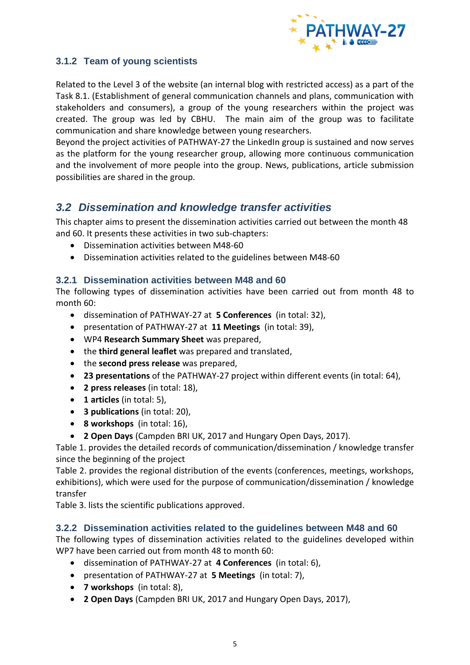

### <span id="page-4-0"></span>**3.1.2 Team of young scientists**

Related to the Level 3 of the website (an internal blog with restricted access) as a part of the Task 8.1. (Establishment of general communication channels and plans, communication with stakeholders and consumers), a group of the young researchers within the project was created. The group was led by CBHU. The main aim of the group was to facilitate communication and share knowledge between young researchers.

Beyond the project activities of PATHWAY-27 the LinkedIn group is sustained and now serves as the platform for the young researcher group, allowing more continuous communication and the involvement of more people into the group. News, publications, article submission possibilities are shared in the group.

### <span id="page-4-1"></span>*3.2 Dissemination and knowledge transfer activities*

This chapter aims to present the dissemination activities carried out between the month 48 and 60. It presents these activities in two sub-chapters:

- Dissemination activities between M48-60
- Dissemination activities related to the guidelines between M48-60

#### <span id="page-4-2"></span>**3.2.1 Dissemination activities between M48 and 60**

The following types of dissemination activities have been carried out from month 48 to month 60:

- dissemination of PATHWAY-27 at **5 Conferences** (in total: 32),
- presentation of PATHWAY-27 at **11 Meetings** (in total: 39),
- WP4 **Research Summary Sheet** was prepared,
- the **third general leaflet** was prepared and translated,
- the **second press release** was prepared,
- **23 presentations** of the PATHWAY-27 project within different events (in total: 64),
- **2 press releases** (in total: 18),
- **1 articles** (in total: 5),
- **3 publications** (in total: 20),
- **8 workshops** (in total: 16),
- **2 Open Days** (Campden BRI UK, 2017 and Hungary Open Days, 2017).

[Table 1.](#page-6-0) provides the detailed records of communication/dissemination / knowledge transfer since the beginning of the project

[Table 2.](#page-14-0) provides the regional distribution of the events (conferences, meetings, workshops, exhibitions), which were used for the purpose of communication/dissemination / knowledge transfer

[Table 3.](#page-15-0) lists the scientific publications approved.

### <span id="page-4-3"></span>**3.2.2 Dissemination activities related to the guidelines between M48 and 60**

The following types of dissemination activities related to the guidelines developed within WP7 have been carried out from month 48 to month 60:

- dissemination of PATHWAY-27 at **4 Conferences** (in total: 6),
- presentation of PATHWAY-27 at **5 Meetings** (in total: 7),
- **7 workshops** (in total: 8),
- **2 Open Days** (Campden BRI UK, 2017 and Hungary Open Days, 2017),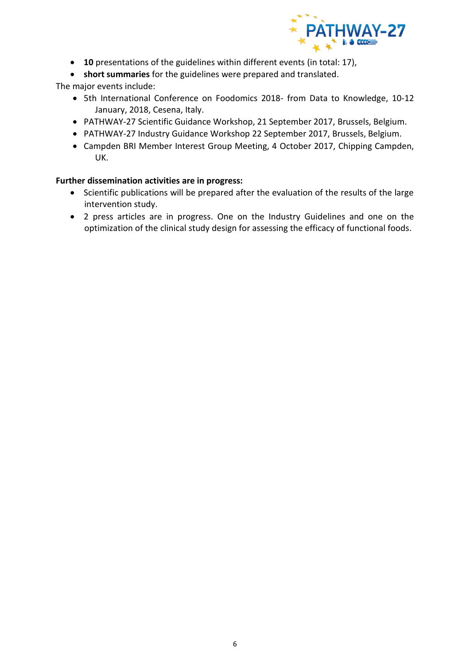

- **10** presentations of the guidelines within different events (in total: 17),
- **short summaries** for the guidelines were prepared and translated.

The major events include:

- 5th International Conference on Foodomics 2018- from Data to Knowledge, 10-12 January, 2018, Cesena, Italy.
- PATHWAY-27 Scientific Guidance Workshop, 21 September 2017, Brussels, Belgium.
- PATHWAY-27 Industry Guidance Workshop 22 September 2017, Brussels, Belgium.
- Campden BRI Member Interest Group Meeting, 4 October 2017, Chipping Campden, UK.

#### **Further dissemination activities are in progress:**

- Scientific publications will be prepared after the evaluation of the results of the large intervention study.
- 2 press articles are in progress. One on the Industry Guidelines and one on the optimization of the clinical study design for assessing the efficacy of functional foods.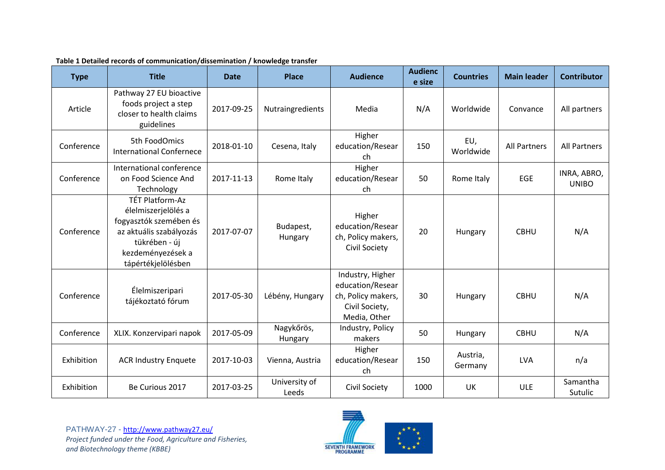| <b>Type</b> | <b>Title</b>                                                                                                                                                   | <b>Date</b> | <b>Place</b>           | <b>Audience</b>                                                                              | <b>Audienc</b><br>e size | <b>Countries</b>    | <b>Main leader</b> | <b>Contributor</b>          |
|-------------|----------------------------------------------------------------------------------------------------------------------------------------------------------------|-------------|------------------------|----------------------------------------------------------------------------------------------|--------------------------|---------------------|--------------------|-----------------------------|
| Article     | Pathway 27 EU bioactive<br>foods project a step<br>closer to health claims<br>guidelines                                                                       | 2017-09-25  | Nutraingredients       | Media                                                                                        | N/A                      | Worldwide           | Convance           | All partners                |
| Conference  | 5th FoodOmics<br><b>International Confernece</b>                                                                                                               | 2018-01-10  | Cesena, Italy          | Higher<br>education/Resear<br>ch                                                             | 150                      | EU,<br>Worldwide    | All Partners       | <b>All Partners</b>         |
| Conference  | International conference<br>on Food Science And<br>Technology                                                                                                  | 2017-11-13  | Rome Italy             | Higher<br>education/Resear<br>ch                                                             | 50                       | Rome Italy          | <b>EGE</b>         | INRA, ABRO,<br><b>UNIBO</b> |
| Conference  | <b>TÉT Platform-Az</b><br>élelmiszerjelölés a<br>fogyasztók szemében és<br>az aktuális szabályozás<br>tükrében - új<br>kezdeményezések a<br>tápértékjelölésben | 2017-07-07  | Budapest,<br>Hungary   | Higher<br>education/Resear<br>ch, Policy makers,<br><b>Civil Society</b>                     | 20                       | Hungary             | <b>CBHU</b>        | N/A                         |
| Conference  | Élelmiszeripari<br>tájékoztató fórum                                                                                                                           | 2017-05-30  | Lébény, Hungary        | Industry, Higher<br>education/Resear<br>ch, Policy makers,<br>Civil Society,<br>Media, Other | 30                       | Hungary             | <b>CBHU</b>        | N/A                         |
| Conference  | XLIX. Konzervipari napok                                                                                                                                       | 2017-05-09  | Nagykőrös,<br>Hungary  | Industry, Policy<br>makers                                                                   | 50                       | Hungary             | <b>CBHU</b>        | N/A                         |
| Exhibition  | <b>ACR Industry Enquete</b>                                                                                                                                    | 2017-10-03  | Vienna, Austria        | Higher<br>education/Resear<br>ch                                                             | 150                      | Austria,<br>Germany | <b>LVA</b>         | n/a                         |
| Exhibition  | Be Curious 2017                                                                                                                                                | 2017-03-25  | University of<br>Leeds | <b>Civil Society</b>                                                                         | 1000                     | UK                  | <b>ULE</b>         | Samantha<br>Sutulic         |

#### **Table 1 Detailed records of communication/dissemination / knowledge transfer**

<span id="page-6-0"></span>PATHWAY-27 - <http://www.pathway27.eu/> *Project funded under the Food, Agriculture and Fisheries, and Biotechnology theme (KBBE)*

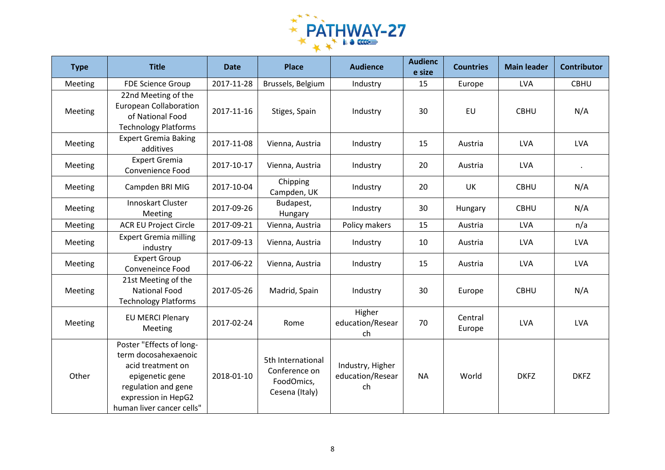

| <b>Type</b> | <b>Title</b>                                                                                                                                                        | <b>Date</b> | <b>Place</b>                                                       | <b>Audience</b>                            | <b>Audienc</b><br>e size | <b>Countries</b>  | <b>Main leader</b> | <b>Contributor</b> |
|-------------|---------------------------------------------------------------------------------------------------------------------------------------------------------------------|-------------|--------------------------------------------------------------------|--------------------------------------------|--------------------------|-------------------|--------------------|--------------------|
| Meeting     | <b>FDE Science Group</b>                                                                                                                                            | 2017-11-28  | Brussels, Belgium                                                  | Industry                                   | 15                       | Europe            | <b>LVA</b>         | <b>CBHU</b>        |
| Meeting     | 22nd Meeting of the<br><b>European Collaboration</b><br>of National Food<br><b>Technology Platforms</b>                                                             | 2017-11-16  | Stiges, Spain                                                      | Industry                                   | 30                       | EU                | <b>CBHU</b>        | N/A                |
| Meeting     | <b>Expert Gremia Baking</b><br>additives                                                                                                                            | 2017-11-08  | Vienna, Austria                                                    | Industry                                   | 15                       | Austria           | <b>LVA</b>         | <b>LVA</b>         |
| Meeting     | <b>Expert Gremia</b><br>Convenience Food                                                                                                                            | 2017-10-17  | Vienna, Austria                                                    | Industry                                   | 20                       | Austria           | <b>LVA</b>         | $\bullet$          |
| Meeting     | Campden BRI MIG                                                                                                                                                     | 2017-10-04  | Chipping<br>Campden, UK                                            | Industry                                   | 20                       | <b>UK</b>         | <b>CBHU</b>        | N/A                |
| Meeting     | Innoskart Cluster<br>Meeting                                                                                                                                        | 2017-09-26  | Budapest,<br>Hungary                                               | Industry                                   | 30                       | Hungary           | <b>CBHU</b>        | N/A                |
| Meeting     | <b>ACR EU Project Circle</b>                                                                                                                                        | 2017-09-21  | Vienna, Austria                                                    | Policy makers                              | 15                       | Austria           | <b>LVA</b>         | n/a                |
| Meeting     | <b>Expert Gremia milling</b><br>industry                                                                                                                            | 2017-09-13  | Vienna, Austria                                                    | Industry                                   | 10                       | Austria           | <b>LVA</b>         | <b>LVA</b>         |
| Meeting     | <b>Expert Group</b><br>Conveneince Food                                                                                                                             | 2017-06-22  | Vienna, Austria                                                    | Industry                                   | 15                       | Austria           | <b>LVA</b>         | <b>LVA</b>         |
| Meeting     | 21st Meeting of the<br><b>National Food</b><br><b>Technology Platforms</b>                                                                                          | 2017-05-26  | Madrid, Spain                                                      | Industry                                   | 30                       | Europe            | <b>CBHU</b>        | N/A                |
| Meeting     | <b>EU MERCI Plenary</b><br>Meeting                                                                                                                                  | 2017-02-24  | Rome                                                               | Higher<br>education/Resear<br>ch           | 70                       | Central<br>Europe | <b>LVA</b>         | <b>LVA</b>         |
| Other       | Poster "Effects of long-<br>term docosahexaenoic<br>acid treatment on<br>epigenetic gene<br>regulation and gene<br>expression in HepG2<br>human liver cancer cells" | 2018-01-10  | 5th International<br>Conference on<br>FoodOmics,<br>Cesena (Italy) | Industry, Higher<br>education/Resear<br>ch | <b>NA</b>                | World             | <b>DKFZ</b>        | <b>DKFZ</b>        |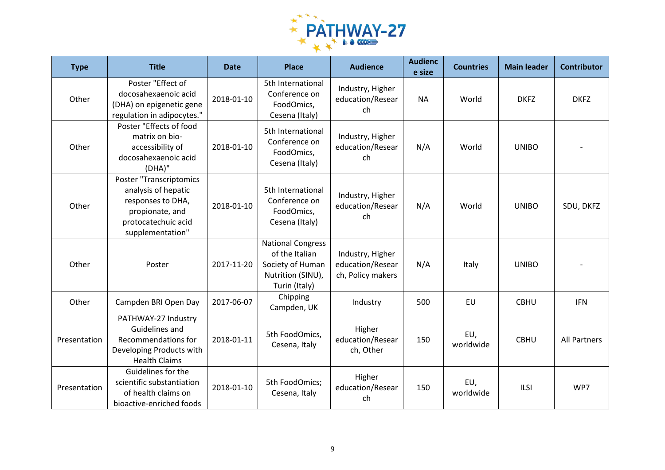

| <b>Type</b>  | <b>Title</b>                                                                                                                      | <b>Date</b> | <b>Place</b>                                                                                         | <b>Audience</b>                                           | <b>Audienc</b><br>e size | <b>Countries</b> | <b>Main leader</b> | <b>Contributor</b>  |
|--------------|-----------------------------------------------------------------------------------------------------------------------------------|-------------|------------------------------------------------------------------------------------------------------|-----------------------------------------------------------|--------------------------|------------------|--------------------|---------------------|
| Other        | Poster "Effect of<br>docosahexaenoic acid<br>(DHA) on epigenetic gene<br>regulation in adipocytes."                               | 2018-01-10  | 5th International<br>Conference on<br>FoodOmics,<br>Cesena (Italy)                                   | Industry, Higher<br>education/Resear<br>ch                | <b>NA</b>                | World            | <b>DKFZ</b>        | <b>DKFZ</b>         |
| Other        | Poster "Effects of food<br>matrix on bio-<br>accessibility of<br>docosahexaenoic acid<br>(DHA)"                                   | 2018-01-10  | 5th International<br>Conference on<br>FoodOmics,<br>Cesena (Italy)                                   | Industry, Higher<br>education/Resear<br>ch                | N/A                      | World            | <b>UNIBO</b>       |                     |
| Other        | Poster "Transcriptomics<br>analysis of hepatic<br>responses to DHA,<br>propionate, and<br>protocatechuic acid<br>supplementation" | 2018-01-10  | 5th International<br>Conference on<br>FoodOmics,<br>Cesena (Italy)                                   | Industry, Higher<br>education/Resear<br>ch                | N/A                      | World            | <b>UNIBO</b>       | SDU, DKFZ           |
| Other        | Poster                                                                                                                            | 2017-11-20  | <b>National Congress</b><br>of the Italian<br>Society of Human<br>Nutrition (SINU),<br>Turin (Italy) | Industry, Higher<br>education/Resear<br>ch, Policy makers | N/A                      | Italy            | <b>UNIBO</b>       |                     |
| Other        | Campden BRI Open Day                                                                                                              | 2017-06-07  | Chipping<br>Campden, UK                                                                              | Industry                                                  | 500                      | EU               | <b>CBHU</b>        | <b>IFN</b>          |
| Presentation | PATHWAY-27 Industry<br>Guidelines and<br>Recommendations for<br>Developing Products with<br><b>Health Claims</b>                  | 2018-01-11  | 5th FoodOmics,<br>Cesena, Italy                                                                      | Higher<br>education/Resear<br>ch, Other                   | 150                      | EU,<br>worldwide | <b>CBHU</b>        | <b>All Partners</b> |
| Presentation | Guidelines for the<br>scientific substantiation<br>of health claims on<br>bioactive-enriched foods                                | 2018-01-10  | 5th FoodOmics;<br>Cesena, Italy                                                                      | Higher<br>education/Resear<br>ch                          | 150                      | EU,<br>worldwide | <b>ILSI</b>        | WP7                 |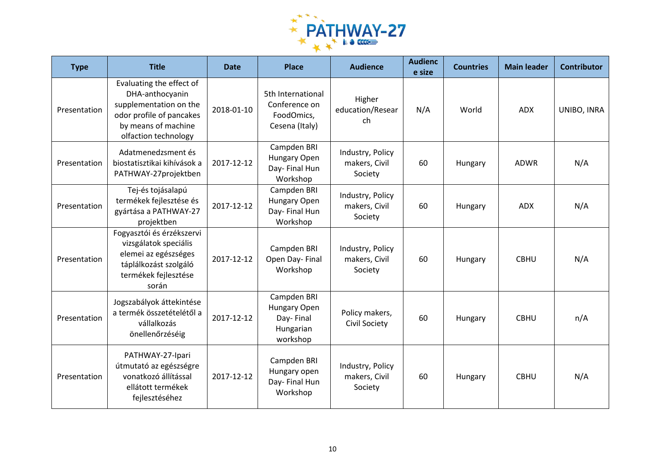

| <b>Type</b>  | <b>Title</b>                                                                                                                                     | <b>Date</b> | <b>Place</b>                                                       | <b>Audience</b>                              | <b>Audienc</b><br>e size | <b>Countries</b> | <b>Main leader</b> | <b>Contributor</b> |
|--------------|--------------------------------------------------------------------------------------------------------------------------------------------------|-------------|--------------------------------------------------------------------|----------------------------------------------|--------------------------|------------------|--------------------|--------------------|
| Presentation | Evaluating the effect of<br>DHA-anthocyanin<br>supplementation on the<br>odor profile of pancakes<br>by means of machine<br>olfaction technology | 2018-01-10  | 5th International<br>Conference on<br>FoodOmics,<br>Cesena (Italy) | Higher<br>education/Resear<br>ch             | N/A                      | World            | <b>ADX</b>         | UNIBO, INRA        |
| Presentation | Adatmenedzsment és<br>biostatisztikai kihívások a<br>PATHWAY-27projektben                                                                        | 2017-12-12  | Campden BRI<br>Hungary Open<br>Day- Final Hun<br>Workshop          | Industry, Policy<br>makers, Civil<br>Society | 60                       | Hungary          | <b>ADWR</b>        | N/A                |
| Presentation | Tej-és tojásalapú<br>termékek fejlesztése és<br>gyártása a PATHWAY-27<br>projektben                                                              | 2017-12-12  | Campden BRI<br>Hungary Open<br>Day- Final Hun<br>Workshop          | Industry, Policy<br>makers, Civil<br>Society | 60                       | Hungary          | <b>ADX</b>         | N/A                |
| Presentation | Fogyasztói és érzékszervi<br>vizsgálatok speciális<br>elemei az egészséges<br>táplálkozást szolgáló<br>termékek fejlesztése<br>során             | 2017-12-12  | Campden BRI<br>Open Day-Final<br>Workshop                          | Industry, Policy<br>makers, Civil<br>Society | 60                       | Hungary          | <b>CBHU</b>        | N/A                |
| Presentation | Jogszabályok áttekintése<br>a termék összetételétől a<br>vállalkozás<br>önellenőrzéséig                                                          | 2017-12-12  | Campden BRI<br>Hungary Open<br>Day-Final<br>Hungarian<br>workshop  | Policy makers,<br><b>Civil Society</b>       | 60                       | Hungary          | <b>CBHU</b>        | n/A                |
| Presentation | PATHWAY-27-Ipari<br>útmutató az egészségre<br>vonatkozó állítással<br>ellátott termékek<br>fejlesztéséhez                                        | 2017-12-12  | Campden BRI<br>Hungary open<br>Day-Final Hun<br>Workshop           | Industry, Policy<br>makers, Civil<br>Society | 60                       | Hungary          | <b>CBHU</b>        | N/A                |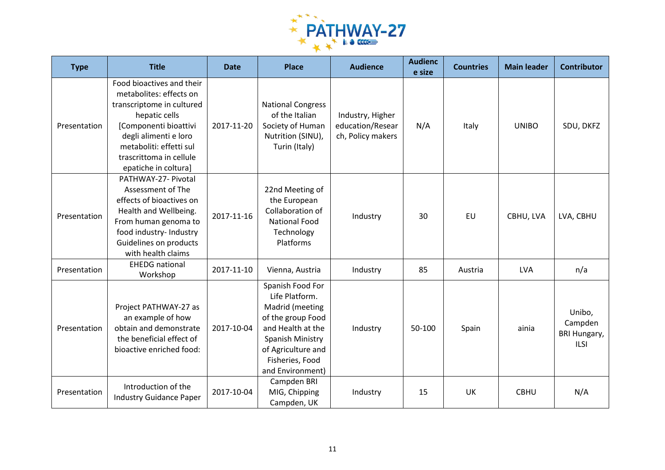

| <b>Type</b>  | <b>Title</b>                                                                                                                                                                                                                       | <b>Date</b> | <b>Place</b>                                                                                                                                                                     | <b>Audience</b>                                           | <b>Audienc</b><br>e size | <b>Countries</b> | <b>Main leader</b> | <b>Contributor</b>                                      |
|--------------|------------------------------------------------------------------------------------------------------------------------------------------------------------------------------------------------------------------------------------|-------------|----------------------------------------------------------------------------------------------------------------------------------------------------------------------------------|-----------------------------------------------------------|--------------------------|------------------|--------------------|---------------------------------------------------------|
| Presentation | Food bioactives and their<br>metabolites: effects on<br>transcriptome in cultured<br>hepatic cells<br>[Componenti bioattivi<br>degli alimenti e loro<br>metaboliti: effetti sul<br>trascrittoma in cellule<br>epatiche in coltura] | 2017-11-20  | <b>National Congress</b><br>of the Italian<br>Society of Human<br>Nutrition (SINU),<br>Turin (Italy)                                                                             | Industry, Higher<br>education/Resear<br>ch, Policy makers | N/A                      | Italy            | <b>UNIBO</b>       | SDU, DKFZ                                               |
| Presentation | PATHWAY-27- Pivotal<br>Assessment of The<br>effects of bioactives on<br>Health and Wellbeing.<br>From human genoma to<br>food industry- Industry<br>Guidelines on products<br>with health claims                                   | 2017-11-16  | 22nd Meeting of<br>the European<br>Collaboration of<br><b>National Food</b><br>Technology<br>Platforms                                                                           | Industry                                                  | 30                       | EU               | CBHU, LVA          | LVA, CBHU                                               |
| Presentation | <b>EHEDG</b> national<br>Workshop                                                                                                                                                                                                  | 2017-11-10  | Vienna, Austria                                                                                                                                                                  | Industry                                                  | 85                       | Austria          | LVA                | n/a                                                     |
| Presentation | Project PATHWAY-27 as<br>an example of how<br>obtain and demonstrate<br>the beneficial effect of<br>bioactive enriched food:                                                                                                       | 2017-10-04  | Spanish Food For<br>Life Platform.<br>Madrid (meeting<br>of the group Food<br>and Health at the<br>Spanish Ministry<br>of Agriculture and<br>Fisheries, Food<br>and Environment) | Industry                                                  | 50-100                   | Spain            | ainia              | Unibo,<br>Campden<br><b>BRI Hungary,</b><br><b>ILSI</b> |
| Presentation | Introduction of the<br><b>Industry Guidance Paper</b>                                                                                                                                                                              | 2017-10-04  | Campden BRI<br>MIG, Chipping<br>Campden, UK                                                                                                                                      | Industry                                                  | 15                       | UK               | <b>CBHU</b>        | N/A                                                     |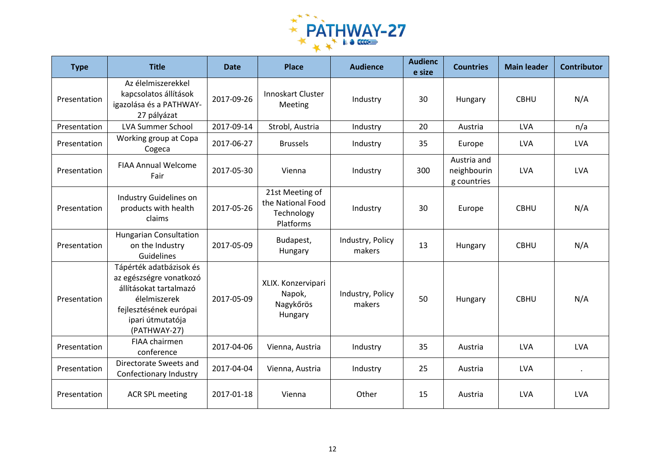

| <b>Type</b>  | <b>Title</b>                                                                                                                                               | <b>Date</b> | <b>Place</b>                                                    | <b>Audience</b>            | <b>Audienc</b><br>e size | <b>Countries</b>                          | <b>Main leader</b> | <b>Contributor</b> |
|--------------|------------------------------------------------------------------------------------------------------------------------------------------------------------|-------------|-----------------------------------------------------------------|----------------------------|--------------------------|-------------------------------------------|--------------------|--------------------|
| Presentation | Az élelmiszerekkel<br>kapcsolatos állítások<br>igazolása és a PATHWAY-<br>27 pályázat                                                                      | 2017-09-26  | Innoskart Cluster<br>Meeting                                    | Industry                   | 30                       | Hungary                                   | <b>CBHU</b>        | N/A                |
| Presentation | <b>LVA Summer School</b>                                                                                                                                   | 2017-09-14  | Strobl, Austria                                                 | Industry                   | 20                       | Austria                                   | <b>LVA</b>         | n/a                |
| Presentation | Working group at Copa<br>Cogeca                                                                                                                            | 2017-06-27  | <b>Brussels</b>                                                 | Industry                   | 35                       | Europe                                    | <b>LVA</b>         | <b>LVA</b>         |
| Presentation | <b>FIAA Annual Welcome</b><br>Fair                                                                                                                         | 2017-05-30  | Vienna                                                          | Industry                   | 300                      | Austria and<br>neighbourin<br>g countries | <b>LVA</b>         | <b>LVA</b>         |
| Presentation | Industry Guidelines on<br>products with health<br>claims                                                                                                   | 2017-05-26  | 21st Meeting of<br>the National Food<br>Technology<br>Platforms | Industry                   | 30                       | Europe                                    | <b>CBHU</b>        | N/A                |
| Presentation | <b>Hungarian Consultation</b><br>on the Industry<br>Guidelines                                                                                             | 2017-05-09  | Budapest,<br>Hungary                                            | Industry, Policy<br>makers | 13                       | Hungary                                   | <b>CBHU</b>        | N/A                |
| Presentation | Tápérték adatbázisok és<br>az egészségre vonatkozó<br>állításokat tartalmazó<br>élelmiszerek<br>fejlesztésének európai<br>ipari útmutatója<br>(PATHWAY-27) | 2017-05-09  | XLIX. Konzervipari<br>Napok,<br>Nagykőrös<br>Hungary            | Industry, Policy<br>makers | 50                       | Hungary                                   | <b>CBHU</b>        | N/A                |
| Presentation | FIAA chairmen<br>conference                                                                                                                                | 2017-04-06  | Vienna, Austria                                                 | Industry                   | 35                       | Austria                                   | <b>LVA</b>         | <b>LVA</b>         |
| Presentation | Directorate Sweets and<br>Confectionary Industry                                                                                                           | 2017-04-04  | Vienna, Austria                                                 | Industry                   | 25                       | Austria                                   | <b>LVA</b>         | $\bullet$          |
| Presentation | <b>ACR SPL meeting</b>                                                                                                                                     | 2017-01-18  | Vienna                                                          | Other                      | 15                       | Austria                                   | <b>LVA</b>         | <b>LVA</b>         |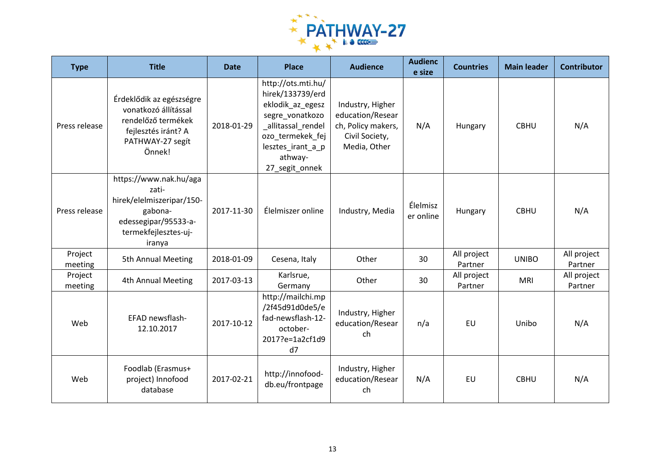

| <b>Type</b>        | <b>Title</b>                                                                                                                      | <b>Date</b> | <b>Place</b>                                                                                                                                                              | <b>Audience</b>                                                                              | <b>Audienc</b><br>e size | <b>Countries</b>       | <b>Main leader</b> | <b>Contributor</b>     |
|--------------------|-----------------------------------------------------------------------------------------------------------------------------------|-------------|---------------------------------------------------------------------------------------------------------------------------------------------------------------------------|----------------------------------------------------------------------------------------------|--------------------------|------------------------|--------------------|------------------------|
| Press release      | Érdeklődik az egészségre<br>vonatkozó állítással<br>rendelőző termékek<br>fejlesztés iránt? A<br>PATHWAY-27 segít<br>Önnek!       | 2018-01-29  | http://ots.mti.hu/<br>hirek/133739/erd<br>eklodik_az_egesz<br>segre_vonatkozo<br>_allitassal_rendel<br>ozo_termekek_fej<br>lesztes_irant_a_p<br>athway-<br>27_segit_onnek | Industry, Higher<br>education/Resear<br>ch, Policy makers,<br>Civil Society,<br>Media, Other | N/A                      | Hungary                | <b>CBHU</b>        | N/A                    |
| Press release      | https://www.nak.hu/aga<br>zati-<br>hirek/elelmiszeripar/150-<br>gabona-<br>edessegipar/95533-a-<br>termekfejlesztes-uj-<br>iranya | 2017-11-30  | Élelmiszer online                                                                                                                                                         | Industry, Media                                                                              | Élelmisz<br>er online    | Hungary                | <b>CBHU</b>        | N/A                    |
| Project<br>meeting | 5th Annual Meeting                                                                                                                | 2018-01-09  | Cesena, Italy                                                                                                                                                             | Other                                                                                        | 30                       | All project<br>Partner | <b>UNIBO</b>       | All project<br>Partner |
| Project<br>meeting | 4th Annual Meeting                                                                                                                | 2017-03-13  | Karlsrue,<br>Germany                                                                                                                                                      | Other                                                                                        | 30                       | All project<br>Partner | <b>MRI</b>         | All project<br>Partner |
| Web                | EFAD newsflash-<br>12.10.2017                                                                                                     | 2017-10-12  | http://mailchi.mp<br>/2f45d91d0de5/e<br>fad-newsflash-12-<br>october-<br>2017?e=1a2cf1d9<br>d7                                                                            | Industry, Higher<br>education/Resear<br>ch                                                   | n/a                      | <b>EU</b>              | Unibo              | N/A                    |
| Web                | Foodlab (Erasmus+<br>project) Innofood<br>database                                                                                | 2017-02-21  | http://innofood-<br>db.eu/frontpage                                                                                                                                       | Industry, Higher<br>education/Resear<br>ch                                                   | N/A                      | EU                     | <b>CBHU</b>        | N/A                    |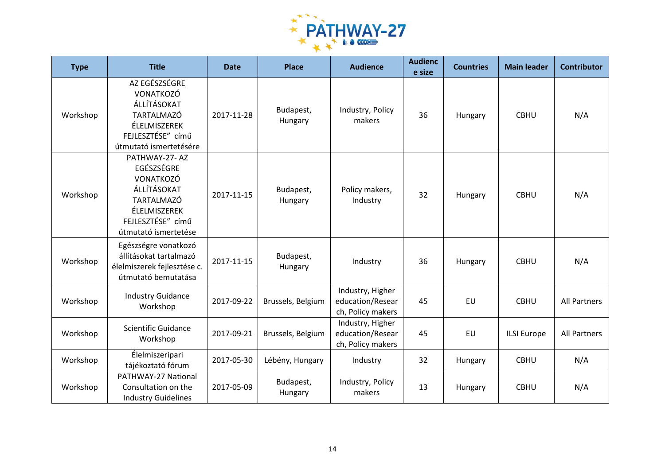

| <b>Type</b> | <b>Title</b>                                                                                                                       | <b>Date</b> | <b>Place</b>         | <b>Audience</b>                                           | <b>Audienc</b><br>e size | <b>Countries</b> | <b>Main leader</b> | <b>Contributor</b>  |
|-------------|------------------------------------------------------------------------------------------------------------------------------------|-------------|----------------------|-----------------------------------------------------------|--------------------------|------------------|--------------------|---------------------|
| Workshop    | AZ EGÉSZSÉGRE<br>VONATKOZÓ<br>ÁLLÍTÁSOKAT<br>TARTALMAZÓ<br>ÉLELMISZEREK<br>FEJLESZTÉSE" című<br>útmutató ismertetésére             | 2017-11-28  | Budapest,<br>Hungary | Industry, Policy<br>makers                                | 36                       | Hungary          | <b>CBHU</b>        | N/A                 |
| Workshop    | PATHWAY-27-AZ<br>EGÉSZSÉGRE<br>VONATKOZÓ<br>ÁLLÍTÁSOKAT<br>TARTALMAZÓ<br>ÉLELMISZEREK<br>FEJLESZTÉSE" című<br>útmutató ismertetése | 2017-11-15  | Budapest,<br>Hungary | Policy makers,<br>Industry                                | 32                       | Hungary          | <b>CBHU</b>        | N/A                 |
| Workshop    | Egészségre vonatkozó<br>állításokat tartalmazó<br>élelmiszerek fejlesztése c.<br>útmutató bemutatása                               | 2017-11-15  | Budapest,<br>Hungary | Industry                                                  | 36                       | Hungary          | <b>CBHU</b>        | N/A                 |
| Workshop    | <b>Industry Guidance</b><br>Workshop                                                                                               | 2017-09-22  | Brussels, Belgium    | Industry, Higher<br>education/Resear<br>ch, Policy makers | 45                       | EU               | <b>CBHU</b>        | <b>All Partners</b> |
| Workshop    | <b>Scientific Guidance</b><br>Workshop                                                                                             | 2017-09-21  | Brussels, Belgium    | Industry, Higher<br>education/Resear<br>ch, Policy makers | 45                       | EU               | <b>ILSI Europe</b> | <b>All Partners</b> |
| Workshop    | Élelmiszeripari<br>tájékoztató fórum                                                                                               | 2017-05-30  | Lébény, Hungary      | Industry                                                  | 32                       | Hungary          | <b>CBHU</b>        | N/A                 |
| Workshop    | PATHWAY-27 National<br>Consultation on the<br><b>Industry Guidelines</b>                                                           | 2017-05-09  | Budapest,<br>Hungary | Industry, Policy<br>makers                                | 13                       | Hungary          | <b>CBHU</b>        | N/A                 |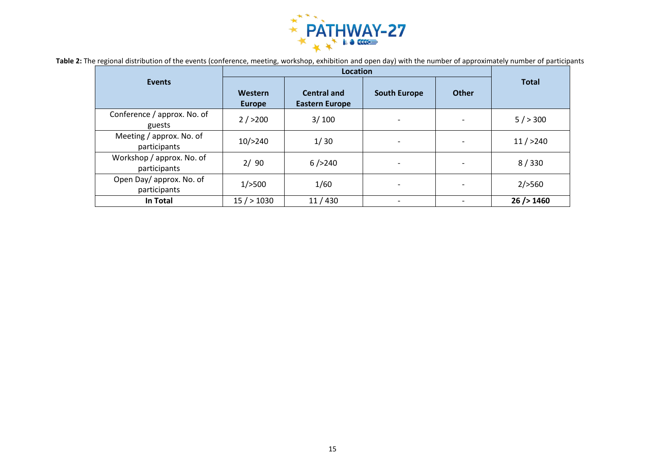

| Table 2: The regional distribution of the events (conference, meeting, workshop, exhibition and open day) with the number of approximately number of participants |  |  |  |  |
|-------------------------------------------------------------------------------------------------------------------------------------------------------------------|--|--|--|--|
|-------------------------------------------------------------------------------------------------------------------------------------------------------------------|--|--|--|--|

<span id="page-14-0"></span>

|                                           | <b>Location</b>                 |                                             |                          |              |                |  |
|-------------------------------------------|---------------------------------|---------------------------------------------|--------------------------|--------------|----------------|--|
| <b>Events</b>                             | <b>Western</b><br><b>Europe</b> | <b>Central and</b><br><b>Eastern Europe</b> | <b>South Europe</b>      | <b>Other</b> | <b>Total</b>   |  |
| Conference / approx. No. of<br>guests     | 2/>200                          | 3/100                                       |                          |              | 5/>300         |  |
| Meeting / approx. No. of<br>participants  | 10/>240                         | 1/30                                        |                          |              | 11 / > 240     |  |
| Workshop / approx. No. of<br>participants | 2/90                            | 6/>240                                      |                          |              | 8/330          |  |
| Open Day/approx. No. of<br>participants   | $1/$ >500                       | 1/60                                        | $\overline{\phantom{a}}$ |              | $2/$ > 560     |  |
| In Total                                  | 15 / > 1030                     | 11/430                                      |                          |              | $26$ /> $1460$ |  |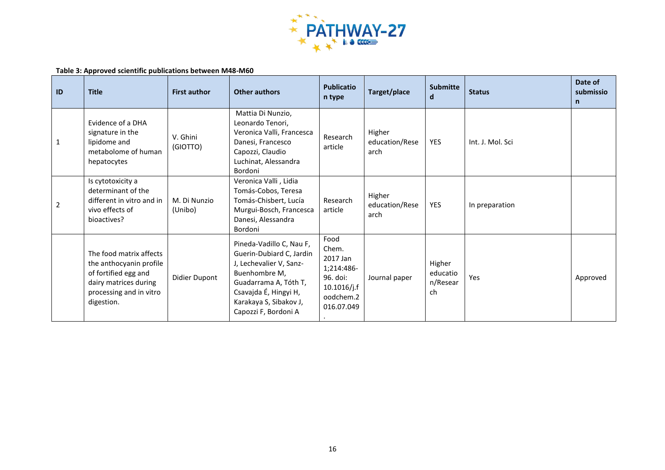

#### **Table 3: Approved scientific publications between M48-M60**

<span id="page-15-0"></span>

| ID           | <b>Title</b>                                                                                                                                 | <b>First author</b>     | Other authors                                                                                                                                                                                        | <b>Publicatio</b><br>n type                                                                      | Target/place                     | <b>Submitte</b><br>d                 | <b>Status</b>    | Date of<br>submissio<br>$\mathsf{n}$ |
|--------------|----------------------------------------------------------------------------------------------------------------------------------------------|-------------------------|------------------------------------------------------------------------------------------------------------------------------------------------------------------------------------------------------|--------------------------------------------------------------------------------------------------|----------------------------------|--------------------------------------|------------------|--------------------------------------|
| $\mathbf{1}$ | Evidence of a DHA<br>signature in the<br>lipidome and<br>metabolome of human<br>hepatocytes                                                  | V. Ghini<br>(GIOTTO)    | Mattia Di Nunzio,<br>Leonardo Tenori,<br>Veronica Valli, Francesca<br>Danesi, Francesco<br>Capozzi, Claudio<br>Luchinat, Alessandra<br>Bordoni                                                       | Research<br>article                                                                              | Higher<br>education/Rese<br>arch | <b>YES</b>                           | Int. J. Mol. Sci |                                      |
| 2            | Is cytotoxicity a<br>determinant of the<br>different in vitro and in<br>vivo effects of<br>bioactives?                                       | M. Di Nunzio<br>(Unibo) | Veronica Valli, Lidia<br>Tomás-Cobos, Teresa<br>Tomás-Chisbert, Lucía<br>Murgui-Bosch, Francesca<br>Danesi, Alessandra<br>Bordoni                                                                    | Research<br>article                                                                              | Higher<br>education/Rese<br>arch | <b>YES</b>                           | In preparation   |                                      |
|              | The food matrix affects<br>the anthocyanin profile<br>of fortified egg and<br>dairy matrices during<br>processing and in vitro<br>digestion. | Didier Dupont           | Pineda-Vadillo C, Nau F,<br>Guerin-Dubiard C, Jardin<br>J, Lechevalier V, Sanz-<br>Buenhombre M,<br>Guadarrama A, Tóth T,<br>Csavajda É, Hingyi H,<br>Karakaya S, Sibakov J,<br>Capozzi F, Bordoni A | Food<br>Chem.<br>2017 Jan<br>1;214:486-<br>96. doi:<br>$10.1016$ /j.f<br>oodchem.2<br>016.07.049 | Journal paper                    | Higher<br>educatio<br>n/Resear<br>ch | Yes              | Approved                             |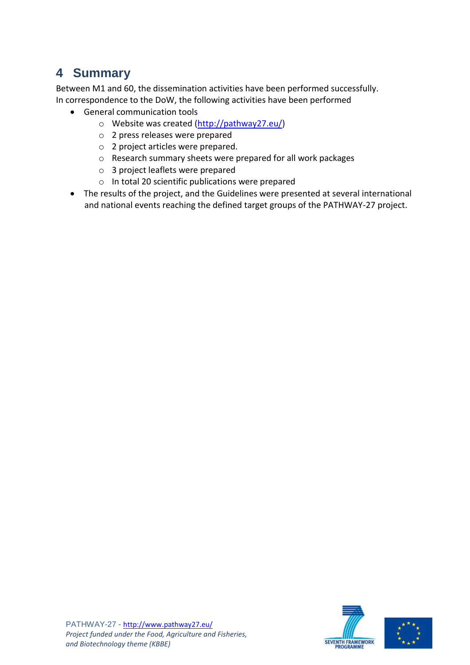# <span id="page-16-0"></span>**4 Summary**

Between M1 and 60, the dissemination activities have been performed successfully. In correspondence to the DoW, the following activities have been performed

- General communication tools
	- o Website was created [\(http://pathway27.eu/\)](http://pathway27.eu/)
	- o 2 press releases were prepared
	- o 2 project articles were prepared.
	- o Research summary sheets were prepared for all work packages
	- o 3 project leaflets were prepared
	- o In total 20 scientific publications were prepared
- The results of the project, and the Guidelines were presented at several international and national events reaching the defined target groups of the PATHWAY-27 project.



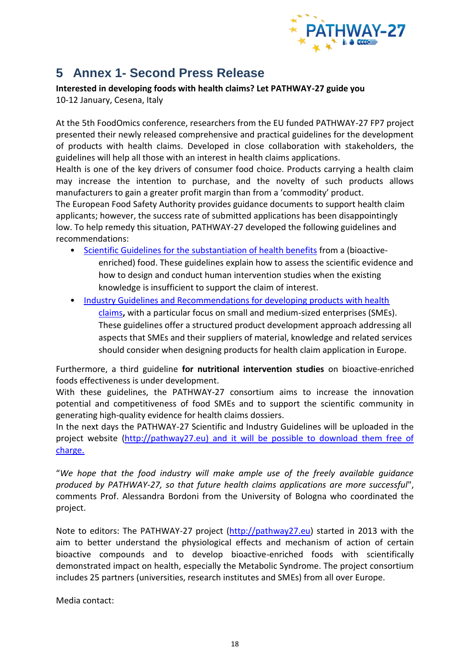

## <span id="page-17-0"></span>**5 Annex 1- Second Press Release**

**Interested in developing foods with health claims? Let PATHWAY-27 guide you** 10-12 January, Cesena, Italy

At the 5th FoodOmics conference, researchers from the EU funded PATHWAY-27 FP7 project presented their newly released comprehensive and practical guidelines for the development of products with health claims. Developed in close collaboration with stakeholders, the guidelines will help all those with an interest in health claims applications.

Health is one of the key drivers of consumer food choice. Products carrying a health claim may increase the intention to purchase, and the novelty of such products allows manufacturers to gain a greater profit margin than from a 'commodity' product.

The European Food Safety Authority provides guidance documents to support health claim applicants; however, the success rate of submitted applications has been disappointingly low. To help remedy this situation, PATHWAY-27 developed the following guidelines and recommendations:

- [Scientific Guidelines for the substantiation of health benefits](http://pathway27.eu/results/pathway-27-scientific-guidelines/) from a (bioactiveenriched) food. These guidelines explain how to assess the scientific evidence and how to design and conduct human intervention studies when the existing knowledge is insufficient to support the claim of interest.
- [Industry Guidelines and Recommendations for developing products with health](http://pathway27.eu/results/pathway-27-industry-guidelines/)  [claims](http://pathway27.eu/results/pathway-27-industry-guidelines/)**,** with a particular focus on small and medium-sized enterprises (SMEs). These guidelines offer a structured product development approach addressing all aspects that SMEs and their suppliers of material, knowledge and related services should consider when designing products for health claim application in Europe.

Furthermore, a third guideline **for nutritional intervention studies** on bioactive-enriched foods effectiveness is under development.

With these guidelines, the PATHWAY-27 consortium aims to increase the innovation potential and competitiveness of food SMEs and to support the scientific community in generating high-quality evidence for health claims dossiers.

In the next days the PATHWAY-27 Scientific and Industry Guidelines will be uploaded in the project website [\(http://pathway27.eu\)](http://pathway27.eu/) and it will be possible to download them free of charge.

"*We hope that the food industry will make ample use of the freely available guidance produced by PATHWAY-27, so that future health claims applications are more successful*", comments Prof. Alessandra Bordoni from the University of Bologna who coordinated the project.

Note to editors: The PATHWAY-27 project [\(http://pathway27.eu\)](http://pathway27.eu/) started in 2013 with the aim to better understand the physiological effects and mechanism of action of certain bioactive compounds and to develop bioactive-enriched foods with scientifically demonstrated impact on health, especially the Metabolic Syndrome. The project consortium includes 25 partners (universities, research institutes and SMEs) from all over Europe.

Media contact: